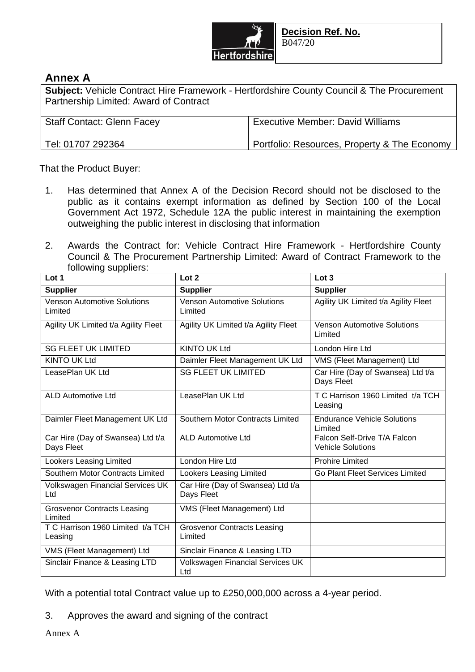

## **Annex A**

**Subject:** Vehicle Contract Hire Framework - Hertfordshire County Council & The Procurement Partnership Limited: Award of Contract

| <b>Staff Contact: Glenn Facey</b> | <b>Executive Member: David Williams</b>      |
|-----------------------------------|----------------------------------------------|
| Tel: 01707 292364                 | Portfolio: Resources, Property & The Economy |

That the Product Buyer:

- 1. Has determined that Annex A of the Decision Record should not be disclosed to the public as it contains exempt information as defined by Section 100 of the Local Government Act 1972, Schedule 12A the public interest in maintaining the exemption outweighing the public interest in disclosing that information
- 2. Awards the Contract for: Vehicle Contract Hire Framework Hertfordshire County Council & The Procurement Partnership Limited: Award of Contract Framework to the following suppliers:

| Lot 1                                           | Lot 2                                           | Lot 3                                                    |
|-------------------------------------------------|-------------------------------------------------|----------------------------------------------------------|
| <b>Supplier</b>                                 | <b>Supplier</b>                                 | <b>Supplier</b>                                          |
| <b>Venson Automotive Solutions</b><br>Limited   | <b>Venson Automotive Solutions</b><br>Limited   | Agility UK Limited t/a Agility Fleet                     |
| Agility UK Limited t/a Agility Fleet            | Agility UK Limited t/a Agility Fleet            | <b>Venson Automotive Solutions</b><br>Limited            |
| <b>SG FLEET UK LIMITED</b>                      | <b>KINTO UK Ltd</b>                             | London Hire Ltd                                          |
| <b>KINTO UK Ltd</b>                             | Daimler Fleet Management UK Ltd                 | VMS (Fleet Management) Ltd                               |
| LeasePlan UK Ltd                                | <b>SG FLEET UK LIMITED</b>                      | Car Hire (Day of Swansea) Ltd t/a<br>Days Fleet          |
| <b>ALD Automotive Ltd</b>                       | LeasePlan UK Ltd                                | T C Harrison 1960 Limited t/a TCH<br>Leasing             |
| Daimler Fleet Management UK Ltd                 | <b>Southern Motor Contracts Limited</b>         | <b>Endurance Vehicle Solutions</b><br>Limited            |
| Car Hire (Day of Swansea) Ltd t/a<br>Days Fleet | <b>ALD Automotive Ltd</b>                       | Falcon Self-Drive T/A Falcon<br><b>Vehicle Solutions</b> |
| <b>Lookers Leasing Limited</b>                  | London Hire Ltd                                 | <b>Prohire Limited</b>                                   |
| Southern Motor Contracts Limited                | <b>Lookers Leasing Limited</b>                  | Go Plant Fleet Services Limited                          |
| Volkswagen Financial Services UK<br>Ltd         | Car Hire (Day of Swansea) Ltd t/a<br>Days Fleet |                                                          |
| <b>Grosvenor Contracts Leasing</b><br>Limited   | VMS (Fleet Management) Ltd                      |                                                          |
| T C Harrison 1960 Limited t/a TCH<br>Leasing    | <b>Grosvenor Contracts Leasing</b><br>Limited   |                                                          |
| VMS (Fleet Management) Ltd                      | Sinclair Finance & Leasing LTD                  |                                                          |
| Sinclair Finance & Leasing LTD                  | Volkswagen Financial Services UK<br>Ltd         |                                                          |

With a potential total Contract value up to £250,000,000 across a 4-year period.

3. Approves the award and signing of the contract

Annex A